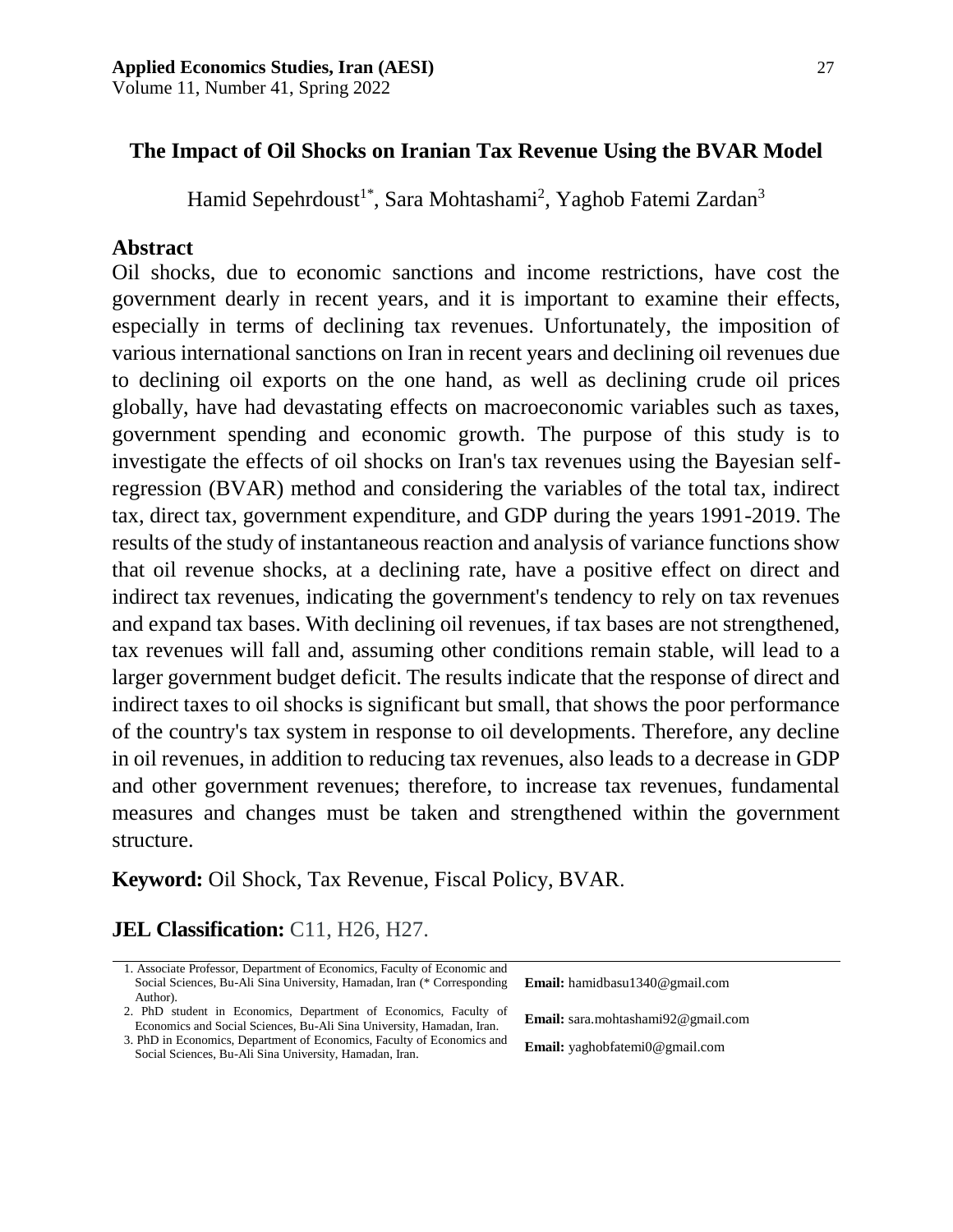# **The Impact of Oil Shocks on Iranian Tax Revenue Using the BVAR Model**

Hamid Sepehrdoust<sup>1\*</sup>, Sara Mohtashami<sup>2</sup>, Yaghob Fatemi Zardan<sup>3</sup>

### **Abstract**

Oil shocks, due to economic sanctions and income restrictions, have cost the government dearly in recent years, and it is important to examine their effects, especially in terms of declining tax revenues. Unfortunately, the imposition of various international sanctions on Iran in recent years and declining oil revenues due to declining oil exports on the one hand, as well as declining crude oil prices globally, have had devastating effects on macroeconomic variables such as taxes, government spending and economic growth. The purpose of this study is to investigate the effects of oil shocks on Iran's tax revenues using the Bayesian selfregression (BVAR) method and considering the variables of the total tax, indirect tax, direct tax, government expenditure, and GDP during the years 1991-2019. The results of the study of instantaneous reaction and analysis of variance functions show that oil revenue shocks, at a declining rate, have a positive effect on direct and indirect tax revenues, indicating the government's tendency to rely on tax revenues and expand tax bases. With declining oil revenues, if tax bases are not strengthened, tax revenues will fall and, assuming other conditions remain stable, will lead to a larger government budget deficit. The results indicate that the response of direct and indirect taxes to oil shocks is significant but small, that shows the poor performance of the country's tax system in response to oil developments. Therefore, any decline in oil revenues, in addition to reducing tax revenues, also leads to a decrease in GDP and other government revenues; therefore, to increase tax revenues, fundamental measures and changes must be taken and strengthened within the government structure.

**Keyword:** Oil Shock, Tax Revenue, Fiscal Policy, BVAR.

**JEL Classification:** C11, H26, H27.

- 1. Associate Professor, Department of Economics, Faculty of Economic and Social Sciences, Bu-Ali Sina University, Hamadan, Iran (\* Corresponding Author).
- 2. PhD student in Economics, Department of Economics, Faculty of **Email:** sara.mohtashami92@gmail.com Economics and Social Sciences, Bu-Ali Sina University, Hamadan, Iran.
- 3. PhD in Economics, Department of Economics, Faculty of Economics and<br> **Email:** yaghobfatemi0@gmail.com Social Sciences, Bu-Ali Sina University, Hamadan, Iran.

**Email:** [hamidbasu1340@gmail.com](mailto:hamidbasu1340@gmail.com)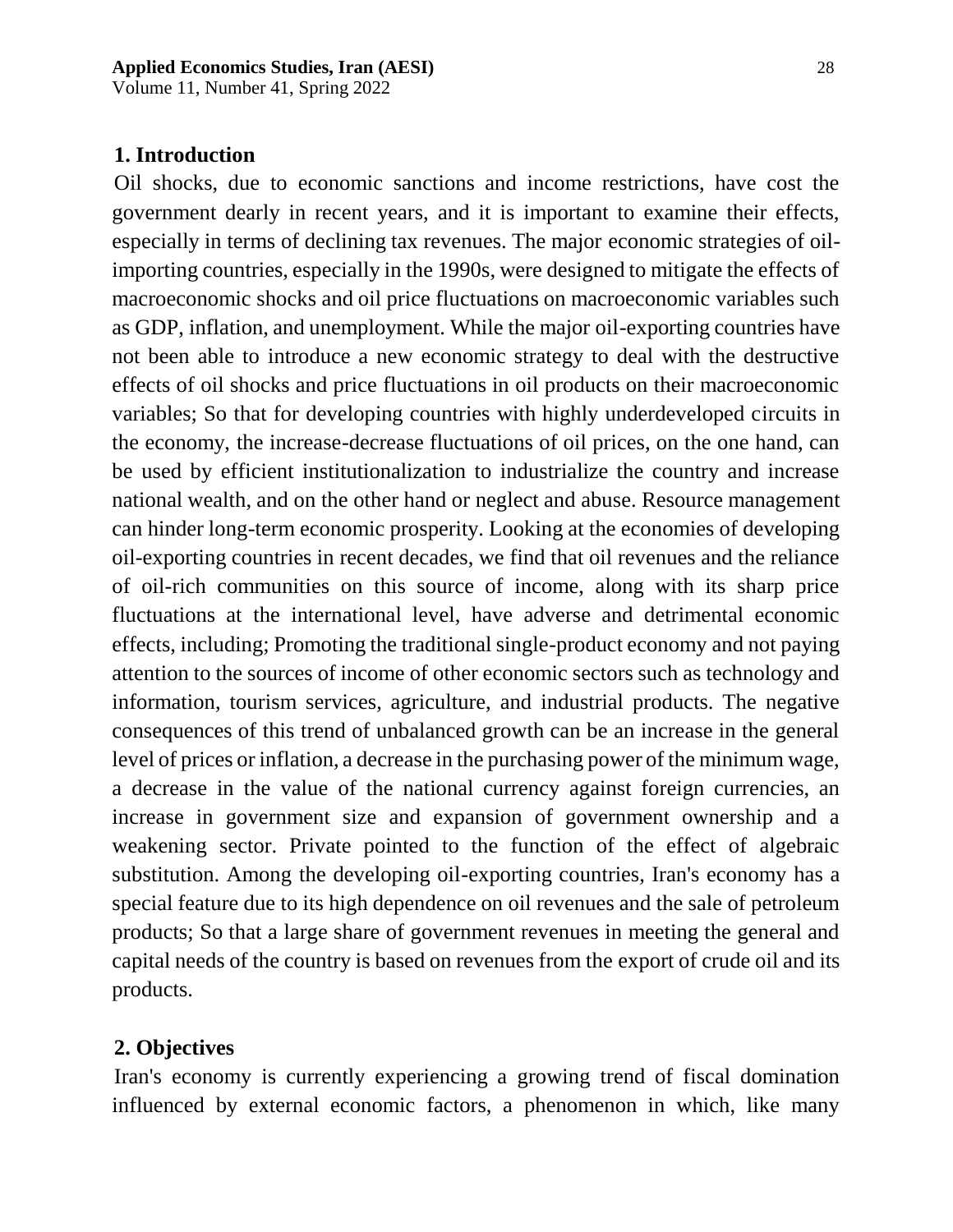Volume 11, Number 41, Spring 2022

## **1. Introduction**

Oil shocks, due to economic sanctions and income restrictions, have cost the government dearly in recent years, and it is important to examine their effects, especially in terms of declining tax revenues. The major economic strategies of oilimporting countries, especially in the 1990s, were designed to mitigate the effects of macroeconomic shocks and oil price fluctuations on macroeconomic variables such as GDP, inflation, and unemployment. While the major oil-exporting countries have not been able to introduce a new economic strategy to deal with the destructive effects of oil shocks and price fluctuations in oil products on their macroeconomic variables; So that for developing countries with highly underdeveloped circuits in the economy, the increase-decrease fluctuations of oil prices, on the one hand, can be used by efficient institutionalization to industrialize the country and increase national wealth, and on the other hand or neglect and abuse. Resource management can hinder long-term economic prosperity. Looking at the economies of developing oil-exporting countries in recent decades, we find that oil revenues and the reliance of oil-rich communities on this source of income, along with its sharp price fluctuations at the international level, have adverse and detrimental economic effects, including; Promoting the traditional single-product economy and not paying attention to the sources of income of other economic sectors such as technology and information, tourism services, agriculture, and industrial products. The negative consequences of this trend of unbalanced growth can be an increase in the general level of prices or inflation, a decrease in the purchasing power of the minimum wage, a decrease in the value of the national currency against foreign currencies, an increase in government size and expansion of government ownership and a weakening sector. Private pointed to the function of the effect of algebraic substitution. Among the developing oil-exporting countries, Iran's economy has a special feature due to its high dependence on oil revenues and the sale of petroleum products; So that a large share of government revenues in meeting the general and capital needs of the country is based on revenues from the export of crude oil and its products.

### **2. Objectives**

Iran's economy is currently experiencing a growing trend of fiscal domination influenced by external economic factors, a phenomenon in which, like many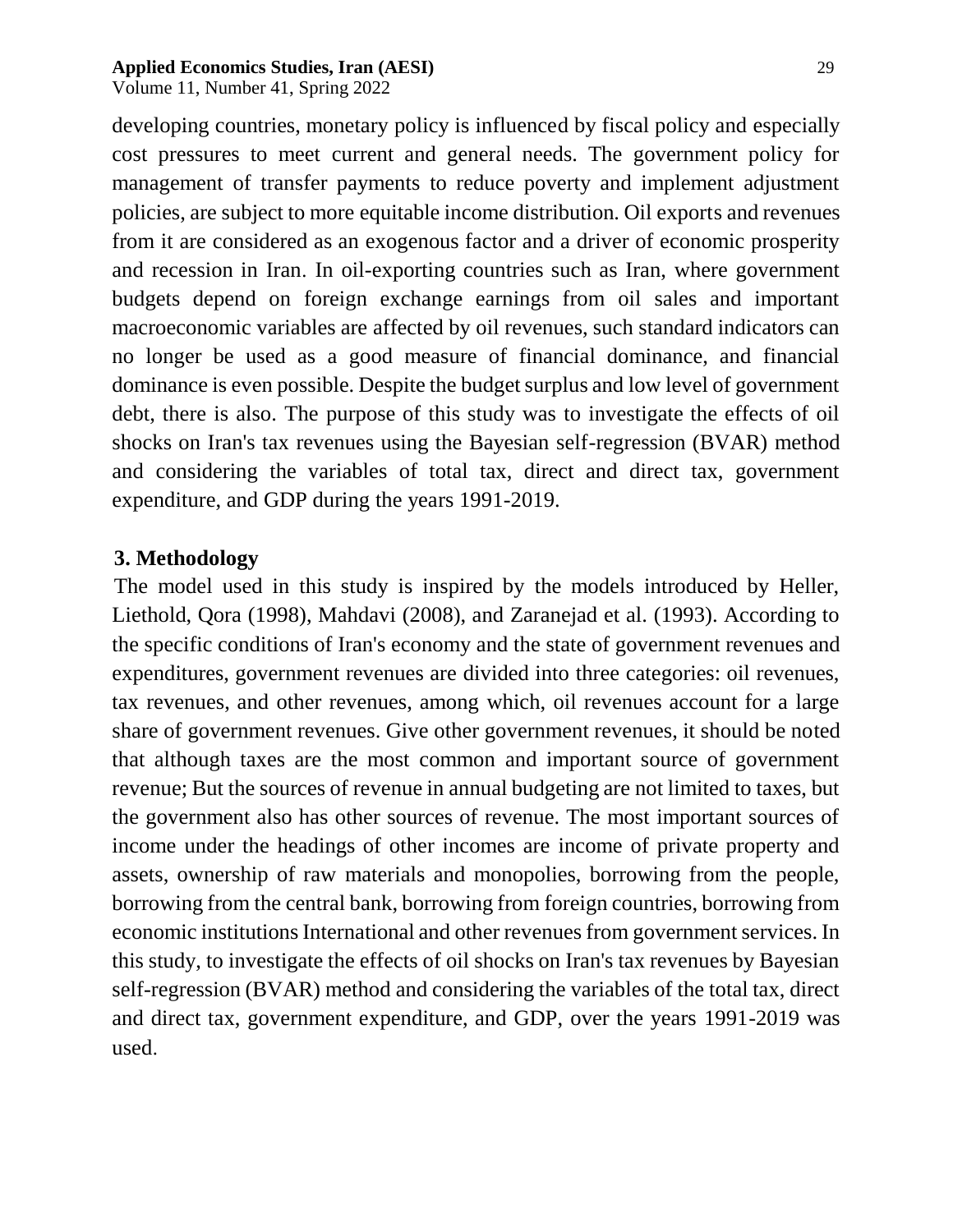Volume 11, Number 41, Spring 2022

developing countries, monetary policy is influenced by fiscal policy and especially cost pressures to meet current and general needs. The government policy for management of transfer payments to reduce poverty and implement adjustment policies, are subject to more equitable income distribution. Oil exports and revenues from it are considered as an exogenous factor and a driver of economic prosperity and recession in Iran. In oil-exporting countries such as Iran, where government budgets depend on foreign exchange earnings from oil sales and important macroeconomic variables are affected by oil revenues, such standard indicators can no longer be used as a good measure of financial dominance, and financial dominance is even possible. Despite the budget surplus and low level of government debt, there is also. The purpose of this study was to investigate the effects of oil shocks on Iran's tax revenues using the Bayesian self-regression (BVAR) method and considering the variables of total tax, direct and direct tax, government expenditure, and GDP during the years 1991-2019.

# **3. Methodology**

The model used in this study is inspired by the models introduced by Heller, Liethold, Qora (1998), Mahdavi (2008), and Zaranejad et al. (1993). According to the specific conditions of Iran's economy and the state of government revenues and expenditures, government revenues are divided into three categories: oil revenues, tax revenues, and other revenues, among which, oil revenues account for a large share of government revenues. Give other government revenues, it should be noted that although taxes are the most common and important source of government revenue; But the sources of revenue in annual budgeting are not limited to taxes, but the government also has other sources of revenue. The most important sources of income under the headings of other incomes are income of private property and assets, ownership of raw materials and monopolies, borrowing from the people, borrowing from the central bank, borrowing from foreign countries, borrowing from economic institutions International and other revenues from government services. In this study, to investigate the effects of oil shocks on Iran's tax revenues by Bayesian self-regression (BVAR) method and considering the variables of the total tax, direct and direct tax, government expenditure, and GDP, over the years 1991-2019 was used.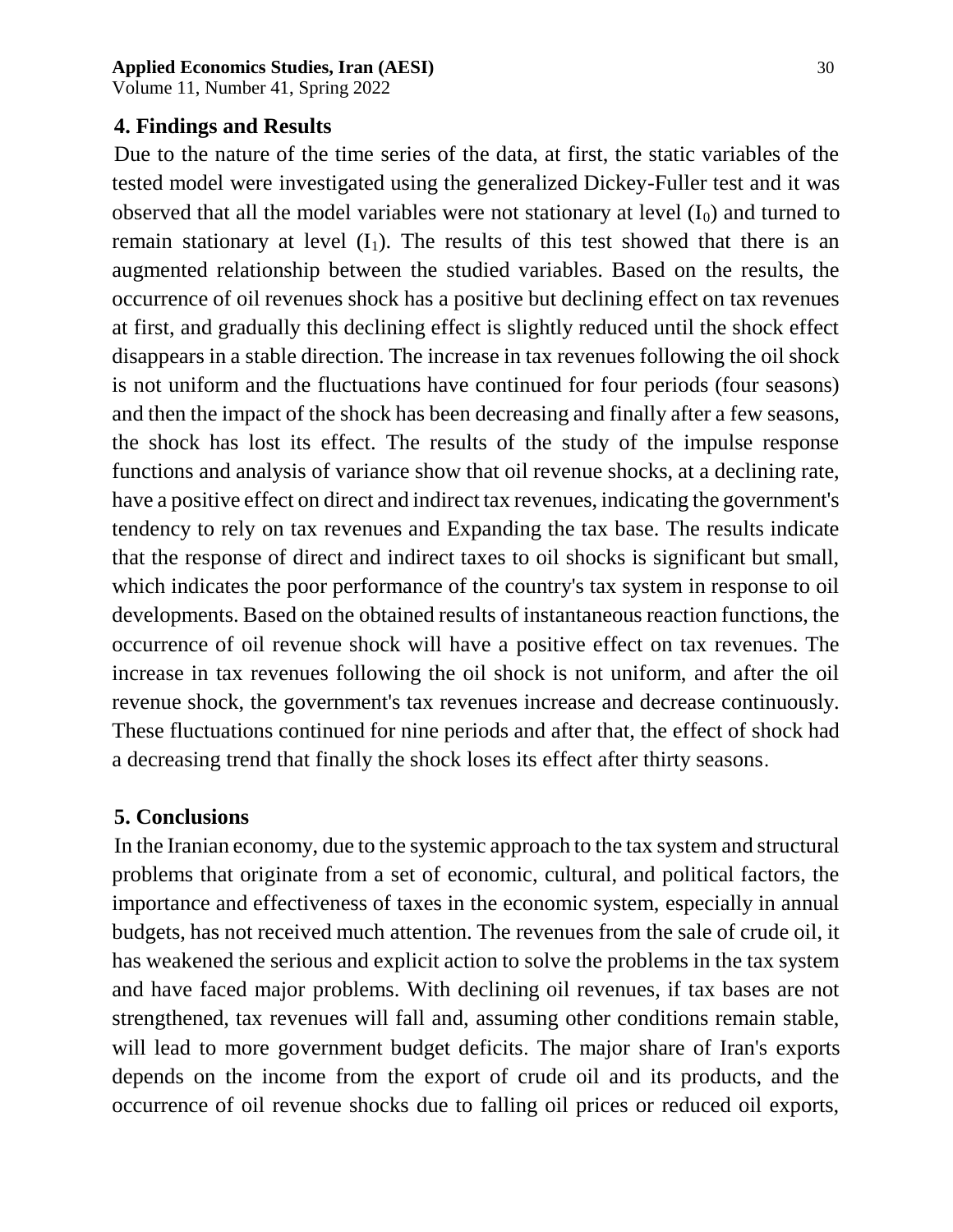Volume 11, Number 41, Spring 2022

### **4. Findings and Results**

Due to the nature of the time series of the data, at first, the static variables of the tested model were investigated using the generalized Dickey-Fuller test and it was observed that all the model variables were not stationary at level  $(I_0)$  and turned to remain stationary at level  $(I_1)$ . The results of this test showed that there is an augmented relationship between the studied variables. Based on the results, the occurrence of oil revenues shock has a positive but declining effect on tax revenues at first, and gradually this declining effect is slightly reduced until the shock effect disappears in a stable direction. The increase in tax revenues following the oil shock is not uniform and the fluctuations have continued for four periods (four seasons) and then the impact of the shock has been decreasing and finally after a few seasons, the shock has lost its effect. The results of the study of the impulse response functions and analysis of variance show that oil revenue shocks, at a declining rate, have a positive effect on direct and indirect tax revenues, indicating the government's tendency to rely on tax revenues and Expanding the tax base. The results indicate that the response of direct and indirect taxes to oil shocks is significant but small, which indicates the poor performance of the country's tax system in response to oil developments. Based on the obtained results of instantaneous reaction functions, the occurrence of oil revenue shock will have a positive effect on tax revenues. The increase in tax revenues following the oil shock is not uniform, and after the oil revenue shock, the government's tax revenues increase and decrease continuously. These fluctuations continued for nine periods and after that, the effect of shock had a decreasing trend that finally the shock loses its effect after thirty seasons.

## **5. Conclusions**

In the Iranian economy, due to the systemic approach to the tax system and structural problems that originate from a set of economic, cultural, and political factors, the importance and effectiveness of taxes in the economic system, especially in annual budgets, has not received much attention. The revenues from the sale of crude oil, it has weakened the serious and explicit action to solve the problems in the tax system and have faced major problems. With declining oil revenues, if tax bases are not strengthened, tax revenues will fall and, assuming other conditions remain stable, will lead to more government budget deficits. The major share of Iran's exports depends on the income from the export of crude oil and its products, and the occurrence of oil revenue shocks due to falling oil prices or reduced oil exports,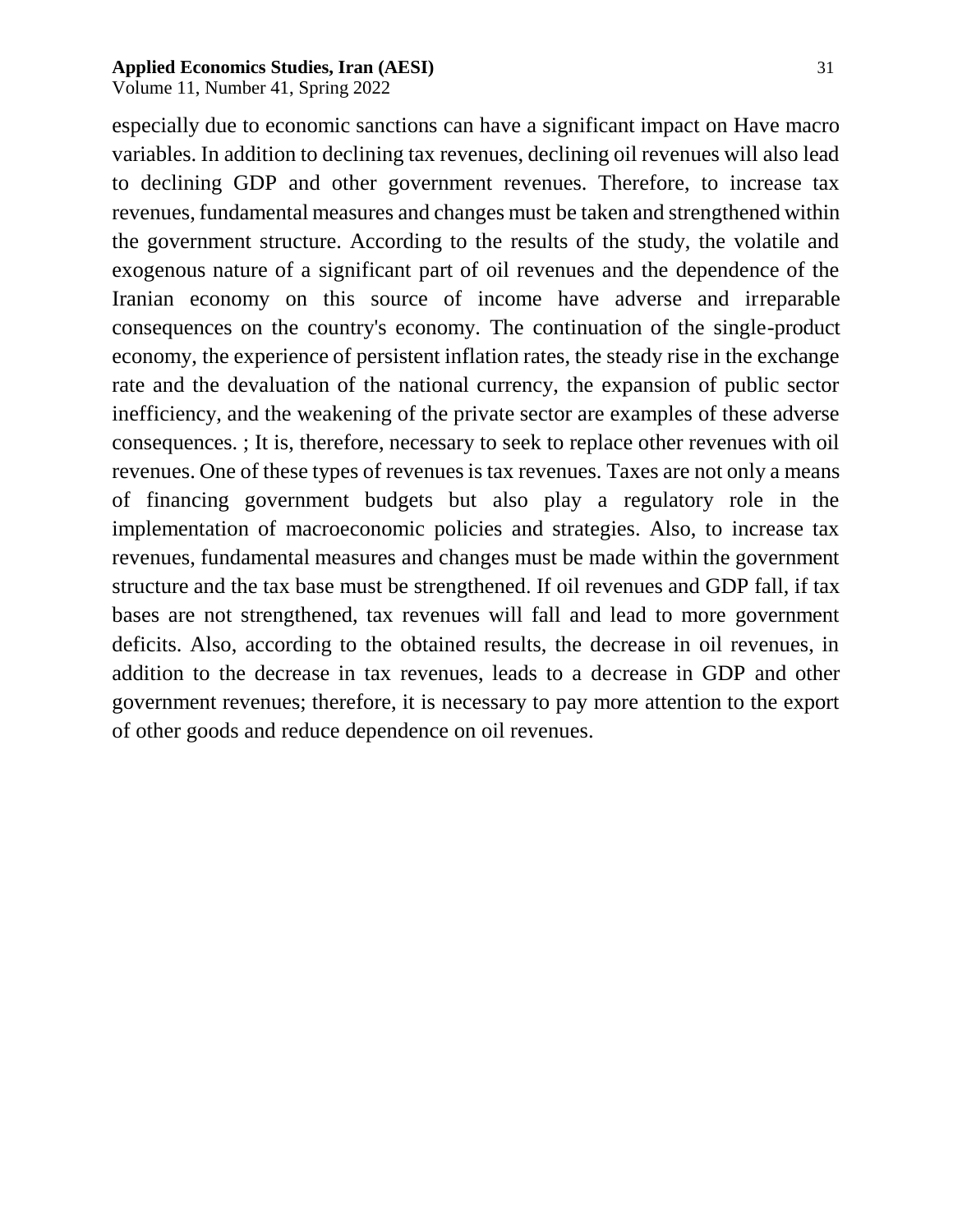Volume 11, Number 41, Spring 2022

especially due to economic sanctions can have a significant impact on Have macro variables. In addition to declining tax revenues, declining oil revenues will also lead to declining GDP and other government revenues. Therefore, to increase tax revenues, fundamental measures and changes must be taken and strengthened within the government structure. According to the results of the study, the volatile and exogenous nature of a significant part of oil revenues and the dependence of the Iranian economy on this source of income have adverse and irreparable consequences on the country's economy. The continuation of the single-product economy, the experience of persistent inflation rates, the steady rise in the exchange rate and the devaluation of the national currency, the expansion of public sector inefficiency, and the weakening of the private sector are examples of these adverse consequences. ; It is, therefore, necessary to seek to replace other revenues with oil revenues. One of these types of revenues is tax revenues. Taxes are not only a means of financing government budgets but also play a regulatory role in the implementation of macroeconomic policies and strategies. Also, to increase tax revenues, fundamental measures and changes must be made within the government structure and the tax base must be strengthened. If oil revenues and GDP fall, if tax bases are not strengthened, tax revenues will fall and lead to more government deficits. Also, according to the obtained results, the decrease in oil revenues, in addition to the decrease in tax revenues, leads to a decrease in GDP and other government revenues; therefore, it is necessary to pay more attention to the export of other goods and reduce dependence on oil revenues.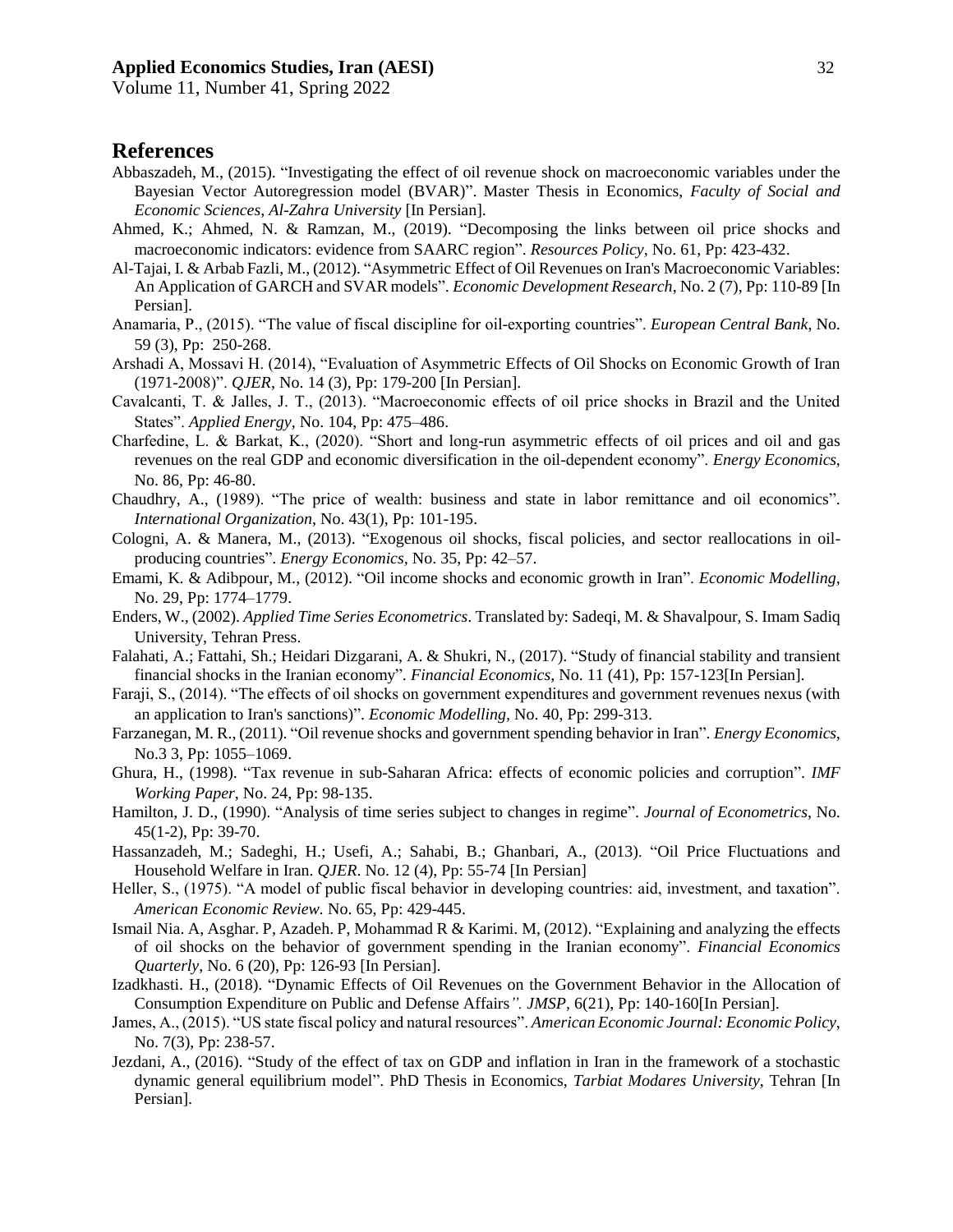Volume 11, Number 41, Spring 2022

### **References**

- Abbaszadeh, M., (2015). "Investigating the effect of oil revenue shock on macroeconomic variables under the Bayesian Vector Autoregression model (BVAR)". Master Thesis in Economics, *Faculty of Social and Economic Sciences, Al-Zahra University* [In Persian].
- Ahmed, K.; Ahmed, N. & Ramzan, M., (2019). "Decomposing the links between oil price shocks and macroeconomic indicators: evidence from SAARC region". *Resources Policy*, No. 61, Pp: 423-432.
- Al-Tajai, I. & Arbab Fazli, M., (2012). "Asymmetric Effect of Oil Revenues on Iran's Macroeconomic Variables: An Application of GARCH and SVAR models". *Economic Development Research*, No. 2 (7), Pp: 110-89 [In Persian].
- Anamaria, P., (2015). "The value of fiscal discipline for oil-exporting countries". *European Central Bank*, No. 59 (3), Pp: 250-268.
- Arshadi A, Mossavi H. (2014), "Evaluation of Asymmetric Effects of Oil Shocks on Economic Growth of Iran (1971-2008)". *QJER*, No. 14 (3), Pp: 179-200 [In Persian].
- Cavalcanti, T. & Jalles, J. T., (2013). "Macroeconomic effects of oil price shocks in Brazil and the United States". *Applied Energy,* No. 104, Pp: 475–486.
- Charfedine, L. & Barkat, K., (2020). "Short and long-run asymmetric effects of oil prices and oil and gas revenues on the real GDP and economic diversification in the oil-dependent economy". *Energy Economics*, No. 86, Pp: 46-80.
- Chaudhry, A., (1989). "The price of wealth: business and state in labor remittance and oil economics". *International Organization*, No. 43(1), Pp: 101-195.
- Cologni, A. & Manera, M., (2013). "Exogenous oil shocks, fiscal policies, and sector reallocations in oilproducing countries". *Energy Economics,* No. 35, Pp: 42–57.
- Emami, K. & Adibpour, M., (2012). "Oil income shocks and economic growth in Iran". *Economic Modelling*, No. 29, Pp: 1774–1779.
- Enders, W., (2002). *Applied Time Series Econometrics*. Translated by: Sadeqi, M. & Shavalpour, S. Imam Sadiq University, Tehran Press.
- Falahati, A.; Fattahi, Sh.; Heidari Dizgarani, A. & Shukri, N., (2017). "Study of financial stability and transient financial shocks in the Iranian economy". *Financial Economics*, No. 11 (41), Pp: 157-123[In Persian].
- Faraji, S., (2014). "The effects of oil shocks on government expenditures and government revenues nexus (with an application to Iran's sanctions)". *Economic Modelling,* No. 40, Pp: 299-313.
- Farzanegan, M. R., (2011). "Oil revenue shocks and government spending behavior in Iran". *Energy Economics*, No.3 3, Pp: 1055–1069.
- Ghura, H., (1998). "Tax revenue in sub-Saharan Africa: effects of economic policies and corruption". *IMF Working Paper*, No. 24, Pp: 98-135.
- Hamilton, J. D., (1990). "Analysis of time series subject to changes in regime". *Journal of Econometrics*, No. 45(1-2), Pp: 39-70.
- Hassanzadeh, M.; Sadeghi, H.; Usefi, A.; Sahabi, B.; Ghanbari, A., (2013). "Oil Price Fluctuations and Household Welfare in Iran. *QJER*. No. 12 (4), Pp: 55-74 [In Persian]
- Heller, S., (1975). "A model of public fiscal behavior in developing countries: aid, investment, and taxation". *American Economic Review.* No. 65, Pp: 429-445.
- Ismail Nia. A, Asghar. P, Azadeh. P, Mohammad R & Karimi. M, (2012). "Explaining and analyzing the effects of oil shocks on the behavior of government spending in the Iranian economy". *Financial Economics Quarterly*, No. 6 (20), Pp: 126-93 [In Persian].
- Izadkhasti. H., (2018). "Dynamic Effects of Oil Revenues on the Government Behavior in the Allocation of Consumption Expenditure on Public and Defense Affairs*". JMSP*, 6(21), Pp: 140-160[In Persian].
- James, A., (2015). "US state fiscal policy and natural resources". *American Economic Journal: Economic Policy*, No. 7(3), Pp: 238-57.
- Jezdani, A., (2016). "Study of the effect of tax on GDP and inflation in Iran in the framework of a stochastic dynamic general equilibrium model". PhD Thesis in Economics, *Tarbiat Modares University*, Tehran [In Persian].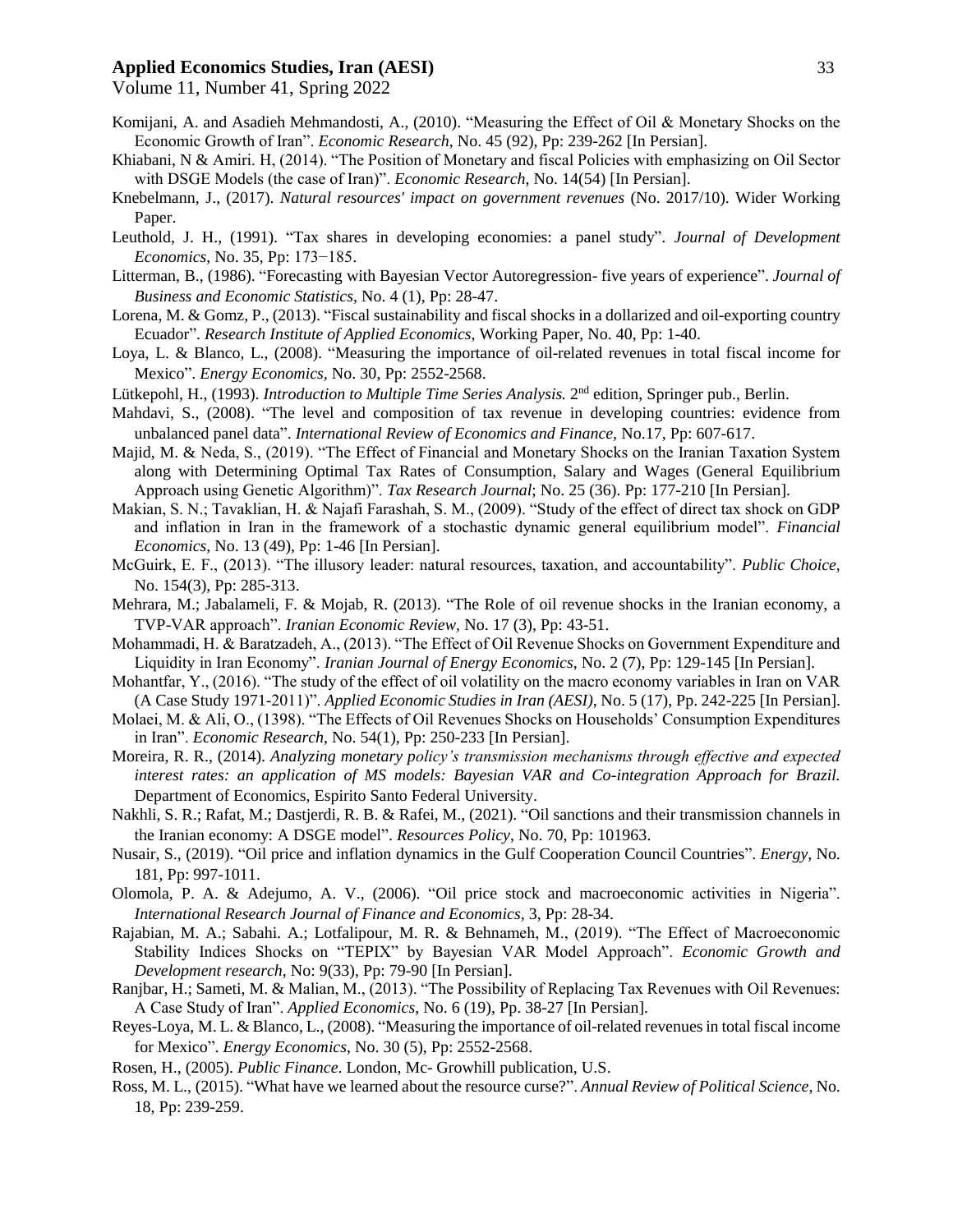Volume 11, Number 41, Spring 2022

- Komijani, A. and Asadieh Mehmandosti, A., (2010). "Measuring the Effect of Oil & Monetary Shocks on the Economic Growth of Iran". *Economic Research*, No. 45 (92), Pp: 239-262 [In Persian].
- Khiabani, N & Amiri. H, (2014). "The Position of Monetary and fiscal Policies with emphasizing on Oil Sector with DSGE Models (the case of Iran)". *Economic Research*, No. 14(54) [In Persian].
- Knebelmann, J., (2017). *Natural resources' impact on government revenues* (No. 2017/10). Wider Working Paper.
- Leuthold, J. H., (1991). "Tax shares in developing economies: a panel study". *Journal of Development Economics*, No. 35, Pp: 173−185.
- Litterman, B., (1986). "Forecasting with Bayesian Vector Autoregression- five years of experience". *Journal of Business and Economic Statistics*, No. 4 (1), Pp: 28-47.
- Lorena, M. & Gomz, P., (2013). "Fiscal sustainability and fiscal shocks in a dollarized and oil-exporting country Ecuador". *Research Institute of Applied Economics*, Working Paper, No. 40, Pp: 1-40.
- Loya, L. & Blanco, L., (2008). "Measuring the importance of oil-related revenues in total fiscal income for Mexico". *Energy Economics,* No. 30, Pp: 2552-2568.
- Lütkepohl, H., (1993). *Introduction to Multiple Time Series Analysis*. 2<sup>nd</sup> edition, Springer pub., Berlin.
- Mahdavi, S., (2008). "The level and composition of tax revenue in developing countries: evidence from unbalanced panel data". *International Review of Economics and Finance,* No.17, Pp: 607-617.
- Majid, M. & Neda, S., (2019). "The Effect of Financial and Monetary Shocks on the Iranian Taxation System along with Determining Optimal Tax Rates of Consumption, Salary and Wages (General Equilibrium Approach using Genetic Algorithm)". *Tax Research Journal*; No. 25 (36). Pp: 177-210 [In Persian].
- Makian, S. N.; Tavaklian, H. & Najafi Farashah, S. M., (2009). "Study of the effect of direct tax shock on GDP and inflation in Iran in the framework of a stochastic dynamic general equilibrium model". *Financial Economics*, No. 13 (49), Pp: 1-46 [In Persian].
- McGuirk, E. F., (2013). "The illusory leader: natural resources, taxation, and accountability". *Public Choice*, No. 154(3), Pp: 285-313.
- Mehrara, M.; Jabalameli, F. & Mojab, R. (2013). "The Role of oil revenue shocks in the Iranian economy, a TVP-VAR approach". *Iranian Economic Review,* No. 17 (3), Pp: 43-51.
- Mohammadi, H. & Baratzadeh, A., (2013). "The Effect of Oil Revenue Shocks on Government Expenditure and Liquidity in Iran Economy". *Iranian Journal of Energy Economics*, No. 2 (7), Pp: 129-145 [In Persian].
- Mohantfar, Y., (2016). "The study of the effect of oil volatility on the macro economy variables in Iran on VAR (A Case Study 1971-2011)". *Applied Economic Studies in Iran (AESI)*, No. 5 (17), Pp. 242-225 [In Persian].
- Molaei, M. & Ali, O., (1398). "The Effects of Oil Revenues Shocks on Households' Consumption Expenditures in Iran". *Economic Research*, No. 54(1), Pp: 250-233 [In Persian].
- Moreira, R. R., (2014). *Analyzing monetary policy's transmission mechanisms through effective and expected interest rates: an application of MS models: Bayesian VAR and Co-integration Approach for Brazil.* Department of Economics, Espirito Santo Federal University.
- Nakhli, S. R.; Rafat, M.; Dastjerdi, R. B. & Rafei, M., (2021). "Oil sanctions and their transmission channels in the Iranian economy: A DSGE model". *Resources Policy*, No. 70, Pp: 101963.
- Nusair, S., (2019). "Oil price and inflation dynamics in the Gulf Cooperation Council Countries". *Energy*, No. 181, Pp: 997-1011.
- Olomola, P. A. & Adejumo, A. V., (2006). "Oil price stock and macroeconomic activities in Nigeria". *International Research Journal of Finance and Economics*, 3, Pp: 28-34.
- Rajabian, M. A.; Sabahi. A.; Lotfalipour, M. R. & Behnameh, M., (2019). "The Effect of Macroeconomic Stability Indices Shocks on "TEPIX" by Bayesian VAR Model Approach". *Economic Growth and Development research*, No: 9(33), Pp: 79-90 [In Persian].
- Ranjbar, H.; Sameti, M. & Malian, M., (2013). "The Possibility of Replacing Tax Revenues with Oil Revenues: A Case Study of Iran". *Applied Economics*, No. 6 (19), Pp. 38-27 [In Persian].
- Reyes-Loya, M. L. & Blanco, L., (2008). "Measuring the importance of oil-related revenues in total fiscal income for Mexico". *Energy Economics*, No. 30 (5), Pp: 2552-2568.
- Rosen, H., (2005). *Public Finance*. London, Mc- Growhill publication, U.S.
- Ross, M. L., (2015). "What have we learned about the resource curse?". *Annual Review of Political Science*, No. 18, Pp: 239-259.